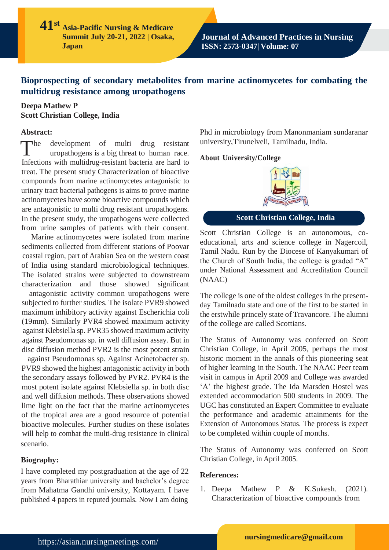**41 st Asia-Pacific Nursing & Medicare Summit July 20-21, 2022 | Osaka, Japan**

**Journal of Advanced Practices in Nursing ISSN: 2573-0347| Volume: 07**

# **Bioprospecting of secondary metabolites from marine actinomycetes for combating the multidrug resistance among uropathogens**

### **Deepa Mathew P Scott Christian College, India**

### **Abstract:**

 $\blacksquare$ he development of multi drug resistant uropathogens is a big threat to human race. Infections with multidrug-resistant bacteria are hard to treat. The present study Characterization of bioactive compounds from marine actinomycetes antagonistic to urinary tract bacterial pathogens is aims to prove marine actinomycetes have some bioactive compounds which are antagonistic to multi drug resistant uropathogens. In the present study, the uropathogens were collected from urine samples of patients with their consent.

Marine actinomycetes were isolated from marine sediments collected from different stations of Poovar coastal region, part of Arabian Sea on the western coast of India using standard microbiological techniques. The isolated strains were subjected to downstream characterization and those showed significant

antagonistic activity common uropathogens were subjected to further studies. The isolate PVR9 showed maximum inhibitory activity against Escherichia coli (19mm). Similarly PVR4 showed maximum activity against Klebsiella sp. PVR35 showed maximum activity against Pseudomonas sp. in well diffusion assay. But in disc diffusion method PVR2 is the most potent strain

against Pseudomonas sp. Against Acinetobacter sp. PVR9 showed the highest antagonistic activity in both the secondary assays followed by PVR2. PVR4 is the most potent isolate against Klebsiella sp. in both disc and well diffusion methods. These observations showed lime light on the fact that the marine actinomycetes of the tropical area are a good resource of potential bioactive molecules. Further studies on these isolates will help to combat the multi-drug resistance in clinical scenario.

### **Biography:**

I have completed my postgraduation at the age of 22 years from Bharathiar university and bachelor's degree from Mahatma Gandhi university, Kottayam. I have published 4 papers in reputed journals. Now I am doing

Phd in microbiology from Manonmaniam sundaranar university,Tirunelveli, Tamilnadu, India.

#### **About University/College**



## **Scott Christian College, India**

Scott Christian College is an autonomous, coeducational, arts and science college in Nagercoil, Tamil Nadu. Run by the Diocese of Kanyakumari of the Church of South India, the college is graded "A" under National Assessment and Accreditation Council (NAAC)

The college is one of the oldest colleges in the presentday Tamilnadu state and one of the first to be started in the erstwhile princely state of Travancore. The alumni of the college are called Scottians.

The Status of Autonomy was conferred on Scott Christian College, in April 2005, perhaps the most historic moment in the annals of this pioneering seat of higher learning in the South. The NAAC Peer team visit in campus in April 2009 and College was awarded 'A' the highest grade. The Ida Marsden Hostel was extended accommodation 500 students in 2009. The UGC has constituted an Expert Committee to evaluate the performance and academic attainments for the Extension of Autonomous Status. The process is expect to be completed within couple of months.

The Status of Autonomy was conferred on Scott Christian College, in April 2005.

### **References:**

1. Deepa Mathew P & K.Sukesh. (2021). Characterization of bioactive compounds from